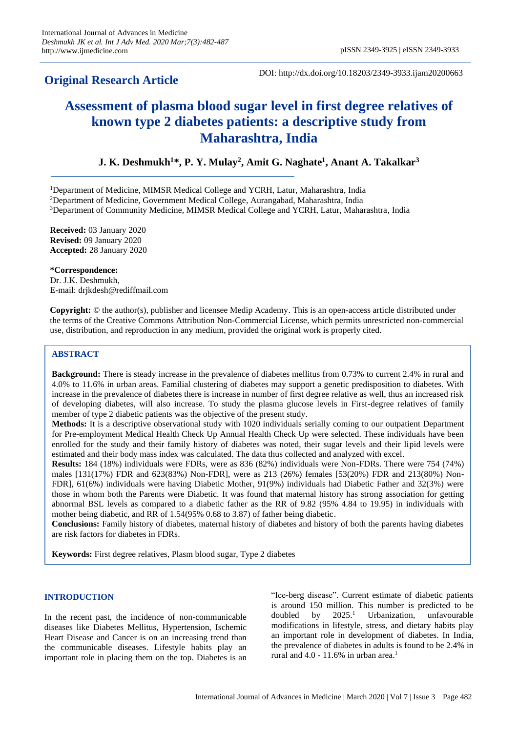## **Original Research Article**

DOI: http://dx.doi.org/10.18203/2349-3933.ijam20200663

# **Assessment of plasma blood sugar level in first degree relatives of known type 2 diabetes patients: a descriptive study from Maharashtra, India**

### **J. K. Deshmukh<sup>1</sup>\*, P. Y. Mulay<sup>2</sup> , Amit G. Naghate<sup>1</sup> , Anant A. Takalkar<sup>3</sup>**

<sup>1</sup>Department of Medicine, MIMSR Medical College and YCRH, Latur, Maharashtra, India

<sup>2</sup>Department of Medicine, Government Medical College, Aurangabad, Maharashtra, India

<sup>3</sup>Department of Community Medicine, MIMSR Medical College and YCRH, Latur, Maharashtra, India

**Received:** 03 January 2020 **Revised:** 09 January 2020 **Accepted:** 28 January 2020

**\*Correspondence:** Dr. J.K. Deshmukh, E-mail: drjkdesh@rediffmail.com

**Copyright:** © the author(s), publisher and licensee Medip Academy. This is an open-access article distributed under the terms of the Creative Commons Attribution Non-Commercial License, which permits unrestricted non-commercial use, distribution, and reproduction in any medium, provided the original work is properly cited.

#### **ABSTRACT**

**Background:** There is steady increase in the prevalence of diabetes mellitus from 0.73% to current 2.4% in rural and 4.0% to 11.6% in urban areas. Familial clustering of diabetes may support a genetic predisposition to diabetes. With increase in the prevalence of diabetes there is increase in number of first degree relative as well, thus an increased risk of developing diabetes, will also increase. To study the plasma glucose levels in First-degree relatives of family member of type 2 diabetic patients was the objective of the present study.

**Methods:** It is a descriptive observational study with 1020 individuals serially coming to our outpatient Department for Pre-employment Medical Health Check Up Annual Health Check Up were selected. These individuals have been enrolled for the study and their family history of diabetes was noted, their sugar levels and their lipid levels were estimated and their body mass index was calculated. The data thus collected and analyzed with excel.

**Results:** 184 (18%) individuals were FDRs, were as 836 (82%) individuals were Non-FDRs. There were 754 (74%) males [131(17%) FDR and 623(83%) Non-FDR], were as 213 (26%) females [53(20%) FDR and 213(80%) Non-FDR], 61(6%) individuals were having Diabetic Mother, 91(9%) individuals had Diabetic Father and 32(3%) were those in whom both the Parents were Diabetic. It was found that maternal history has strong association for getting abnormal BSL levels as compared to a diabetic father as the RR of 9.82 (95% 4.84 to 19.95) in individuals with mother being diabetic, and RR of 1.54(95% 0.68 to 3.87) of father being diabetic.

**Conclusions:** Family history of diabetes, maternal history of diabetes and history of both the parents having diabetes are risk factors for diabetes in FDRs.

**Keywords:** First degree relatives, Plasm blood sugar, Type 2 diabetes

#### **INTRODUCTION**

In the recent past, the incidence of non-communicable diseases like Diabetes Mellitus, Hypertension, Ischemic Heart Disease and Cancer is on an increasing trend than the communicable diseases. Lifestyle habits play an important role in placing them on the top. Diabetes is an "Ice-berg disease". Current estimate of diabetic patients is around 150 million. This number is predicted to be doubled by  $2025.<sup>1</sup>$ <sup>1</sup> Urbanization, unfavourable modifications in lifestyle, stress, and dietary habits play an important role in development of diabetes. In India, the prevalence of diabetes in adults is found to be 2.4% in rural and  $4.0 - 11.6\%$  in urban area.<sup>1</sup>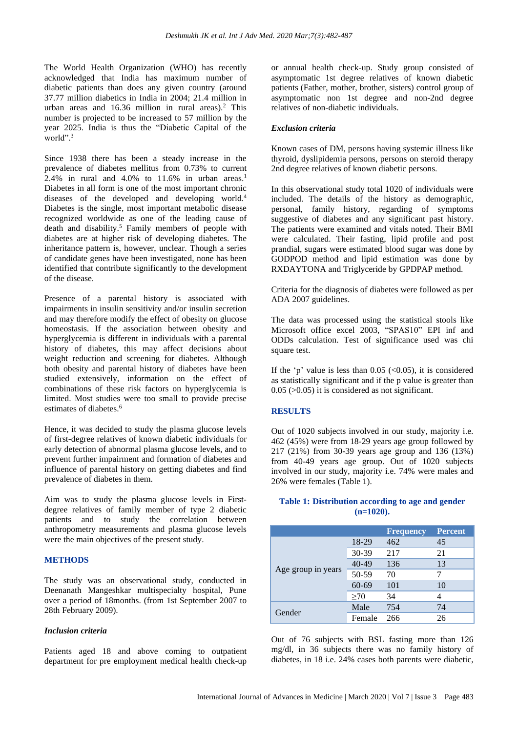The World Health Organization (WHO) has recently acknowledged that India has maximum number of diabetic patients than does any given country (around 37.77 million diabetics in India in 2004; 21.4 million in urban areas and 16.36 million in rural areas).<sup>2</sup> This number is projected to be increased to 57 million by the year 2025. India is thus the "Diabetic Capital of the world".<sup>3</sup>

Since 1938 there has been a steady increase in the prevalence of diabetes mellitus from 0.73% to current 2.4% in rural and 4.0% to 11.6% in urban areas.<sup>1</sup> Diabetes in all form is one of the most important chronic diseases of the developed and developing world.<sup>4</sup> Diabetes is the single, most important metabolic disease recognized worldwide as one of the leading cause of death and disability.<sup>5</sup> Family members of people with diabetes are at higher risk of developing diabetes. The inheritance pattern is, however, unclear. Though a series of candidate genes have been investigated, none has been identified that contribute significantly to the development of the disease.

Presence of a parental history is associated with impairments in insulin sensitivity and/or insulin secretion and may therefore modify the effect of obesity on glucose homeostasis. If the association between obesity and hyperglycemia is different in individuals with a parental history of diabetes, this may affect decisions about weight reduction and screening for diabetes. Although both obesity and parental history of diabetes have been studied extensively, information on the effect of combinations of these risk factors on hyperglycemia is limited. Most studies were too small to provide precise estimates of diabetes.<sup>6</sup>

Hence, it was decided to study the plasma glucose levels of first-degree relatives of known diabetic individuals for early detection of abnormal plasma glucose levels, and to prevent further impairment and formation of diabetes and influence of parental history on getting diabetes and find prevalence of diabetes in them.

Aim was to study the plasma glucose levels in Firstdegree relatives of family member of type 2 diabetic patients and to study the correlation between anthropometry measurements and plasma glucose levels were the main objectives of the present study.

#### **METHODS**

The study was an observational study, conducted in Deenanath Mangeshkar multispecialty hospital, Pune over a period of 18months. (from 1st September 2007 to 28th February 2009).

#### *Inclusion criteria*

Patients aged 18 and above coming to outpatient department for pre employment medical health check-up or annual health check-up. Study group consisted of asymptomatic 1st degree relatives of known diabetic patients (Father, mother, brother, sisters) control group of asymptomatic non 1st degree and non-2nd degree relatives of non-diabetic individuals.

#### *Exclusion criteria*

Known cases of DM, persons having systemic illness like thyroid, dyslipidemia persons, persons on steroid therapy 2nd degree relatives of known diabetic persons.

In this observational study total 1020 of individuals were included. The details of the history as demographic, personal, family history, regarding of symptoms suggestive of diabetes and any significant past history. The patients were examined and vitals noted. Their BMI were calculated. Their fasting, lipid profile and post prandial, sugars were estimated blood sugar was done by GODPOD method and lipid estimation was done by RXDAYTONA and Triglyceride by GPDPAP method.

Criteria for the diagnosis of diabetes were followed as per ADA 2007 guidelines.

The data was processed using the statistical stools like Microsoft office excel 2003, "SPAS10" EPI inf and ODDs calculation. Test of significance used was chi square test.

If the 'p' value is less than  $0.05$  (<0.05), it is considered as statistically significant and if the p value is greater than 0.05 (>0.05) it is considered as not significant.

#### **RESULTS**

Out of 1020 subjects involved in our study, majority i.e. 462 (45%) were from 18-29 years age group followed by 217 (21%) from 30-39 years age group and 136 (13%) from 40-49 years age group. Out of 1020 subjects involved in our study, majority i.e. 74% were males and 26% were females (Table 1).

#### **Table 1: Distribution according to age and gender (n=1020).**

|                    |           | <b>Frequency</b> | <b>Percent</b> |
|--------------------|-----------|------------------|----------------|
| Age group in years | 18-29     | 462              | 45             |
|                    | 30-39     | 217              | 21             |
|                    | $40 - 49$ | 136              | 13             |
|                    | 50-59     | 70               |                |
|                    | $60 - 69$ | 101              | 10             |
|                    | $\geq 70$ | 34               |                |
| Gender             | Male      | 754              | 74             |
|                    | Female    | 266              | 26             |

Out of 76 subjects with BSL fasting more than 126 mg/dl, in 36 subjects there was no family history of diabetes, in 18 i.e. 24% cases both parents were diabetic,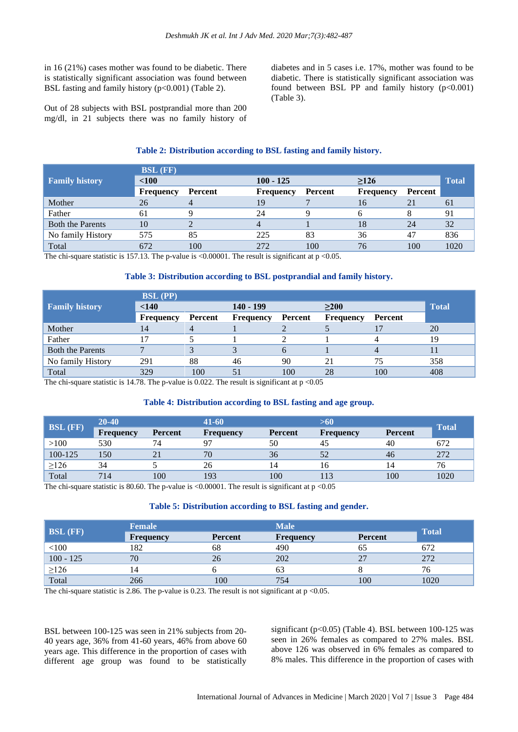in 16 (21%) cases mother was found to be diabetic. There is statistically significant association was found between BSL fasting and family history  $(p<0.001)$  (Table 2).

Out of 28 subjects with BSL postprandial more than 200 mg/dl, in 21 subjects there was no family history of diabetes and in 5 cases i.e. 17%, mother was found to be diabetic. There is statistically significant association was found between BSL PP and family history  $(p<0.001)$ (Table 3).

#### **Table 2: Distribution according to BSL fasting and family history.**

|                         | <b>BSL</b> (FF)  |         |                  |         |                  |         |              |
|-------------------------|------------------|---------|------------------|---------|------------------|---------|--------------|
| <b>Family history</b>   | < 100            |         | $100 - 125$      |         | >126             |         | <b>Total</b> |
|                         | <b>Frequency</b> | Percent | <b>Frequency</b> | Percent | <b>Frequency</b> | Percent |              |
| Mother                  | 26               |         | 19               |         | 16               |         | 61           |
| Father                  | 61               |         | 24               |         |                  |         | 91           |
| <b>Both the Parents</b> | 10               |         |                  |         | 18               | 24      | 32           |
| No family History       | 575              | 85      | 225              | 83      | 36               | 47      | 836          |
| Total                   | 672              | 100     | 272              | 100     | 76               | 100     | 1020         |

The chi-square statistic is 157.13. The p-value is  $\leq 0.00001$ . The result is significant at p $\leq 0.05$ .

#### **Table 3: Distribution according to BSL postprandial and family history.**

|                         | <b>BSL</b> (PP)  |         |                  |                |                  |         |              |
|-------------------------|------------------|---------|------------------|----------------|------------------|---------|--------------|
| <b>Family history</b>   | < 140            |         | $140 - 199$      |                | $\geq$ 200       |         | <b>Total</b> |
|                         | <b>Frequency</b> | Percent | <b>Frequency</b> | <b>Percent</b> | <b>Frequency</b> | Percent |              |
| Mother                  | 14               | 4       |                  |                |                  |         | 20           |
| Father                  |                  |         |                  |                |                  |         | 19           |
| <b>Both the Parents</b> |                  |         |                  | 6              |                  | 4       |              |
| No family History       | 291              | 88      | 46               | 90             | 21               | 75      | 358          |
| Total                   | 329              | 100     | 51               | 100            | 28               | 100     | 408          |

The chi-square statistic is 14.78. The p-value is 0.022. The result is significant at  $p < 0.05$ 

#### **Table 4: Distribution according to BSL fasting and age group.**

| <b>BSL</b> (FF) | 20-40            |                | $41 - 60$        |                | >60              |                |              |
|-----------------|------------------|----------------|------------------|----------------|------------------|----------------|--------------|
|                 | <b>Frequency</b> | <b>Percent</b> | <b>Frequency</b> | <b>Percent</b> | <b>Frequency</b> | <b>Percent</b> | <b>Total</b> |
| >100            | 530              | 74             | 97               | 50             | 45               | 40             | 672          |
| 100-125         | 150              | 21             | 70               | 36             | 52               | 46             | 272          |
| $\geq$ 126      | 34               |                | 26               | 14             | 16               | 14             | 76           |
| Total           | 714              | 100            | 193              | 100            |                  | 100            | 1020         |

The chi-square statistic is 80.60. The p-value is <0.00001. The result is significant at  $p \le 0.05$ 

#### **Table 5: Distribution according to BSL fasting and gender.**

| <b>BSL</b> (FF) | <b>Female</b>    |                | <b>Male</b>      |                |              |
|-----------------|------------------|----------------|------------------|----------------|--------------|
|                 | <b>Frequency</b> | <b>Percent</b> | <b>Frequency</b> | <b>Percent</b> | <b>Total</b> |
| < 100           | 182              | 68             | 490              | 65             | 672          |
| $100 - 125$     | 70               | 26             | 202              |                | 272          |
| $\geq$ 126      |                  |                | 63               |                | 76           |
| Total           | 266              | 100            | 754              | 100            | 1020         |

The chi-square statistic is 2.86. The p-value is 0.23. The result is not significant at  $p \le 0.05$ .

BSL between 100-125 was seen in 21% subjects from 20- 40 years age, 36% from 41-60 years, 46% from above 60 years age. This difference in the proportion of cases with different age group was found to be statistically significant ( $p<0.05$ ) (Table 4). BSL between 100-125 was seen in 26% females as compared to 27% males. BSL above 126 was observed in 6% females as compared to 8% males. This difference in the proportion of cases with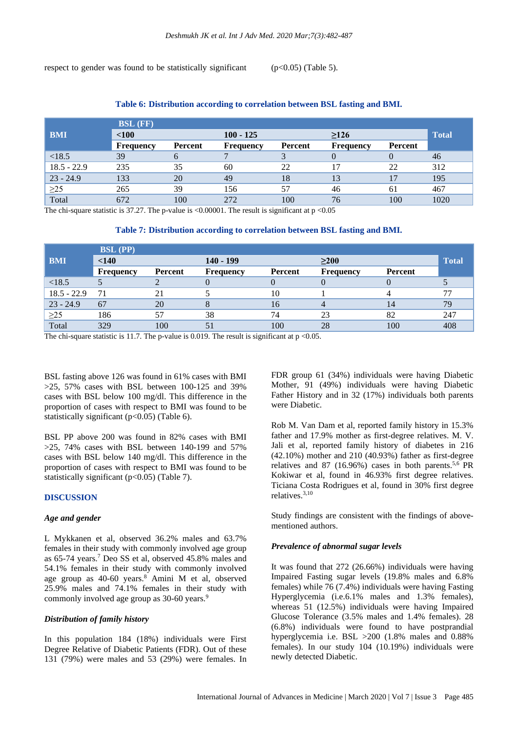respect to gender was found to be statistically significant  $(p<0.05)$  (Table 5).

|               | <b>BSL</b> (FF) |         |                  |         |                  |          |              |
|---------------|-----------------|---------|------------------|---------|------------------|----------|--------------|
| <b>BMI</b>    | < 100           |         | $100 - 125$      |         | $\geq$ 126       |          | <b>Total</b> |
|               | Frequency       | Percent | <b>Frequency</b> | Percent | <b>Frequency</b> | Percent  |              |
| < 18.5        | 39              | 6       |                  |         | $\theta$         | $\theta$ | 46           |
| $18.5 - 22.9$ | 235             | 35      | 60               | 22      | 17               | 22       | 312          |
| $23 - 24.9$   | 133             | 20      | 49               | 18      | 13               |          | 195          |
| $\geq$ 25     | 265             | 39      | 156              | 57      | 46               | 61       | 467          |
| Total         | 672             | 100     | 272              | 100     | 76               | 100      | 1020         |

#### **Table 6: Distribution according to correlation between BSL fasting and BMI.**

The chi-square statistic is 37.27. The p-value is <0.00001. The result is significant at  $p \le 0.05$ 

#### **Table 7: Distribution according to correlation between BSL fasting and BMI.**

|               | <b>BSL</b> (PP) |         |                  |         |                  |         |              |
|---------------|-----------------|---------|------------------|---------|------------------|---------|--------------|
| <b>BMI</b>    | $<$ 140         |         | $140 - 199$      |         | >200             |         | <b>Total</b> |
|               | Frequency       | Percent | <b>Frequency</b> | Percent | <b>Frequency</b> | Percent |              |
| <18.5         |                 |         | O                |         |                  |         |              |
| $18.5 - 22.9$ | 71              |         |                  | 10      |                  |         | 77           |
| $23 - 24.9$   | 67              | 20      |                  | 16      |                  | 14      | 79           |
| $\geq$ 25     | 186             | 57      | 38               | 74      | 23               | 82      | 247          |
| Total         | 329             | 100     | 51               | 100     | 28               | 100     | 408          |

The chi-square statistic is 11.7. The p-value is 0.019. The result is significant at  $p \le 0.05$ .

BSL fasting above 126 was found in 61% cases with BMI >25, 57% cases with BSL between 100-125 and 39% cases with BSL below 100 mg/dl. This difference in the proportion of cases with respect to BMI was found to be statistically significant  $(p<0.05)$  (Table 6).

BSL PP above 200 was found in 82% cases with BMI  $>25$ , 74% cases with BSL between 140-199 and 57% cases with BSL below 140 mg/dl. This difference in the proportion of cases with respect to BMI was found to be statistically significant ( $p<0.05$ ) (Table 7).

#### **DISCUSSION**

#### *Age and gender*

L Mykkanen et al, observed 36.2% males and 63.7% females in their study with commonly involved age group as 65-74 years.<sup>7</sup> Deo SS et al, observed 45.8% males and 54.1% females in their study with commonly involved age group as 40-60 years.<sup>8</sup> Amini M et al, observed 25.9% males and 74.1% females in their study with commonly involved age group as 30-60 years.<sup>9</sup>

#### *Distribution of family history*

In this population 184 (18%) individuals were First Degree Relative of Diabetic Patients (FDR). Out of these 131 (79%) were males and 53 (29%) were females. In FDR group 61 (34%) individuals were having Diabetic Mother, 91 (49%) individuals were having Diabetic Father History and in 32 (17%) individuals both parents were Diabetic.

Rob M. Van Dam et al, reported family history in 15.3% father and 17.9% mother as first-degree relatives. M. V. Jali et al, reported family history of diabetes in 216 (42.10%) mother and 210 (40.93%) father as first-degree relatives and 87 (16.96%) cases in both parents.<sup>5,6</sup> PR Kokiwar et al, found in 46.93% first degree relatives. Ticiana Costa Rodrigues et al, found in 30% first degree relatives.3,10

Study findings are consistent with the findings of abovementioned authors.

#### *Prevalence of abnormal sugar levels*

It was found that 272 (26.66%) individuals were having Impaired Fasting sugar levels (19.8% males and 6.8% females) while 76 (7.4%) individuals were having Fasting Hyperglycemia (i.e.6.1% males and 1.3% females), whereas 51 (12.5%) individuals were having Impaired Glucose Tolerance (3.5% males and 1.4% females). 28 (6.8%) individuals were found to have postprandial hyperglycemia i.e. BSL >200 (1.8% males and 0.88% females). In our study 104 (10.19%) individuals were newly detected Diabetic.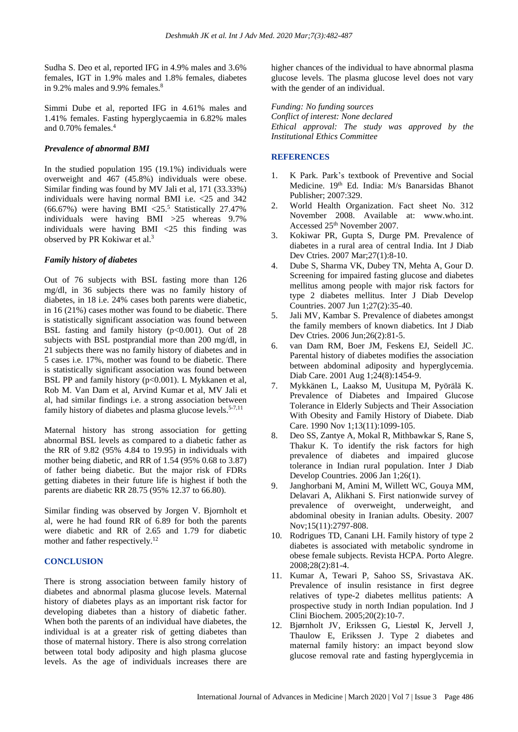Sudha S. Deo et al, reported IFG in 4.9% males and 3.6% females, IGT in 1.9% males and 1.8% females, diabetes in 9.2% males and 9.9% females.<sup>8</sup>

Simmi Dube et al, reported IFG in 4.61% males and 1.41% females. Fasting hyperglycaemia in 6.82% males and 0.70% females.<sup>4</sup>

#### *Prevalence of abnormal BMI*

In the studied population 195 (19.1%) individuals were overweight and 467 (45.8%) individuals were obese. Similar finding was found by MV Jali et al, 171 (33.33%) individuals were having normal BMI i.e. <25 and 342  $(66.67%)$  were having BMI <25.<sup>5</sup> Statistically 27.47% individuals were having BMI >25 whereas 9.7% individuals were having BMI <25 this finding was observed by PR Kokiwar et al.<sup>3</sup>

#### *Family history of diabetes*

Out of 76 subjects with BSL fasting more than 126 mg/dl, in 36 subjects there was no family history of diabetes, in 18 i.e. 24% cases both parents were diabetic, in 16 (21%) cases mother was found to be diabetic. There is statistically significant association was found between BSL fasting and family history (p<0.001). Out of 28 subjects with BSL postprandial more than 200 mg/dl, in 21 subjects there was no family history of diabetes and in 5 cases i.e. 17%, mother was found to be diabetic. There is statistically significant association was found between BSL PP and family history (p<0.001). L Mykkanen et al, Rob M. Van Dam et al, Arvind Kumar et al, MV Jali et al, had similar findings i.e. a strong association between family history of diabetes and plasma glucose levels.<sup>5-7,11</sup>

Maternal history has strong association for getting abnormal BSL levels as compared to a diabetic father as the RR of 9.82 (95% 4.84 to 19.95) in individuals with mother being diabetic, and RR of 1.54 (95% 0.68 to 3.87) of father being diabetic. But the major risk of FDRs getting diabetes in their future life is highest if both the parents are diabetic RR 28.75 (95% 12.37 to 66.80).

Similar finding was observed by Jorgen V. Bjornholt et al, were he had found RR of 6.89 for both the parents were diabetic and RR of 2.65 and 1.79 for diabetic mother and father respectively. 12

#### **CONCLUSION**

There is strong association between family history of diabetes and abnormal plasma glucose levels. Maternal history of diabetes plays as an important risk factor for developing diabetes than a history of diabetic father. When both the parents of an individual have diabetes, the individual is at a greater risk of getting diabetes than those of maternal history. There is also strong correlation between total body adiposity and high plasma glucose levels. As the age of individuals increases there are higher chances of the individual to have abnormal plasma glucose levels. The plasma glucose level does not vary with the gender of an individual.

*Funding: No funding sources Conflict of interest: None declared Ethical approval: The study was approved by the Institutional Ethics Committee*

#### **REFERENCES**

- K Park. Park's textbook of Preventive and Social Medicine. 19<sup>th</sup> Ed. India: M/s Banarsidas Bhanot Publisher; 2007:329.
- 2. World Health Organization. Fact sheet No. 312 November 2008. Available at: www.who.int. Accessed 25th November 2007.
- 3. Kokiwar PR, Gupta S, Durge PM. Prevalence of diabetes in a rural area of central India. Int J Diab Dev Ctries. 2007 Mar;27(1):8-10.
- 4. Dube S, Sharma VK, Dubey TN, Mehta A, Gour D. Screening for impaired fasting glucose and diabetes mellitus among people with major risk factors for type 2 diabetes mellitus. Inter J Diab Develop Countries. 2007 Jun 1;27(2):35-40.
- 5. Jali MV, Kambar S. Prevalence of diabetes amongst the family members of known diabetics. Int J Diab Dev Ctries. 2006 Jun;26(2):81-5.
- 6. van Dam RM, Boer JM, Feskens EJ, Seidell JC. Parental history of diabetes modifies the association between abdominal adiposity and hyperglycemia. Diab Care. 2001 Aug 1;24(8):1454-9.
- 7. Mykkänen L, Laakso M, Uusitupa M, Pyörälä K. Prevalence of Diabetes and Impaired Glucose Tolerance in Elderly Subjects and Their Association With Obesity and Family History of Diabete. Diab Care. 1990 Nov 1;13(11):1099-105.
- 8. Deo SS, Zantye A, Mokal R, Mithbawkar S, Rane S, Thakur K. To identify the risk factors for high prevalence of diabetes and impaired glucose tolerance in Indian rural population. Inter J Diab Develop Countries. 2006 Jan 1;26(1).
- 9. Janghorbani M, Amini M, Willett WC, Gouya MM, Delavari A, Alikhani S. First nationwide survey of prevalence of overweight, underweight, and abdominal obesity in Iranian adults. Obesity. 2007 Nov;15(11):2797-808.
- 10. Rodrigues TD, Canani LH. Family history of type 2 diabetes is associated with metabolic syndrome in obese female subjects. Revista HCPA. Porto Alegre. 2008;28(2):81-4.
- 11. Kumar A, Tewari P, Sahoo SS, Srivastava AK. Prevalence of insulin resistance in first degree relatives of type-2 diabetes mellitus patients: A prospective study in north Indian population. Ind J Clini Biochem. 2005;20(2):10-7.
- 12. Bjørnholt JV, Erikssen G, Liestøl K, Jervell J, Thaulow E, Erikssen J. Type 2 diabetes and maternal family history: an impact beyond slow glucose removal rate and fasting hyperglycemia in